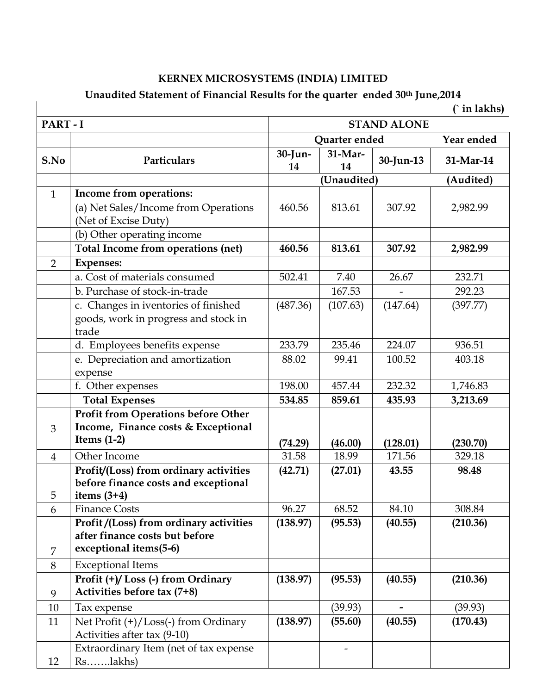## KERNEX MICROSYSTEMS (INDIA) LIMITED

## Unaudited Statement of Financial Results for the quarter ended 30<sup>th</sup> June, 2014 (in lakhs)

|                |                                                                                                    |                    |               |                          | $\hat{ }$ in lakhs) |  |
|----------------|----------------------------------------------------------------------------------------------------|--------------------|---------------|--------------------------|---------------------|--|
| PART-I         |                                                                                                    | <b>STAND ALONE</b> |               |                          |                     |  |
|                |                                                                                                    | Quarter ended      |               |                          | Year ended          |  |
| S.No           | Particulars                                                                                        | 30-Jun-<br>14      | 31-Mar-<br>14 | 30-Jun-13                | 31-Mar-14           |  |
|                |                                                                                                    |                    | (Audited)     |                          |                     |  |
| $\mathbf{1}$   | Income from operations:                                                                            |                    |               |                          |                     |  |
|                | (a) Net Sales/Income from Operations<br>(Net of Excise Duty)                                       | 460.56             | 813.61        | 307.92                   | 2,982.99            |  |
|                | (b) Other operating income                                                                         |                    |               |                          |                     |  |
|                | Total Income from operations (net)                                                                 | 460.56             | 813.61        | 307.92                   | 2,982.99            |  |
| $\overline{2}$ | <b>Expenses:</b>                                                                                   |                    |               |                          |                     |  |
|                | a. Cost of materials consumed                                                                      | 502.41             | 7.40          | 26.67                    | 232.71              |  |
|                | b. Purchase of stock-in-trade                                                                      |                    | 167.53        |                          | 292.23              |  |
|                | c. Changes in iventories of finished<br>goods, work in progress and stock in<br>trade              | (487.36)           | (107.63)      | (147.64)                 | (397.77)            |  |
|                | d. Employees benefits expense                                                                      | 233.79             | 235.46        | 224.07                   | 936.51              |  |
|                | e. Depreciation and amortization<br>expense                                                        | 88.02              | 99.41         | 100.52                   | 403.18              |  |
|                | f. Other expenses                                                                                  | 198.00             | 457.44        | 232.32                   | 1,746.83            |  |
|                | <b>Total Expenses</b>                                                                              | 534.85             | 859.61        | 435.93                   | 3,213.69            |  |
| 3              | <b>Profit from Operations before Other</b><br>Income, Finance costs & Exceptional<br>Items $(1-2)$ | (74.29)            | (46.00)       | (128.01)                 | (230.70)            |  |
| $\overline{4}$ | Other Income                                                                                       | 31.58              | 18.99         | 171.56                   | 329.18              |  |
| 5              | Profit/(Loss) from ordinary activities<br>before finance costs and exceptional<br>items $(3+4)$    | (42.71)            | (27.01)       | 43.55                    | 98.48               |  |
| 6              | <b>Finance Costs</b>                                                                               | 96.27              | 68.52         | 84.10                    | 308.84              |  |
| $\overline{7}$ | Profit/(Loss) from ordinary activities<br>after finance costs but before<br>exceptional items(5-6) | (138.97)           | (95.53)       | (40.55)                  | (210.36)            |  |
| 8              | <b>Exceptional Items</b>                                                                           |                    |               |                          |                     |  |
| 9              | Profit (+)/Loss (-) from Ordinary<br>Activities before tax (7+8)                                   | (138.97)           | (95.53)       | (40.55)                  | (210.36)            |  |
| 10             | Tax expense                                                                                        |                    | (39.93)       | $\overline{\phantom{0}}$ | (39.93)             |  |
| 11             | Net Profit (+)/Loss(-) from Ordinary<br>Activities after tax (9-10)                                | (138.97)           | (55.60)       | (40.55)                  | (170.43)            |  |
| 12             | Extraordinary Item (net of tax expense                                                             |                    |               |                          |                     |  |